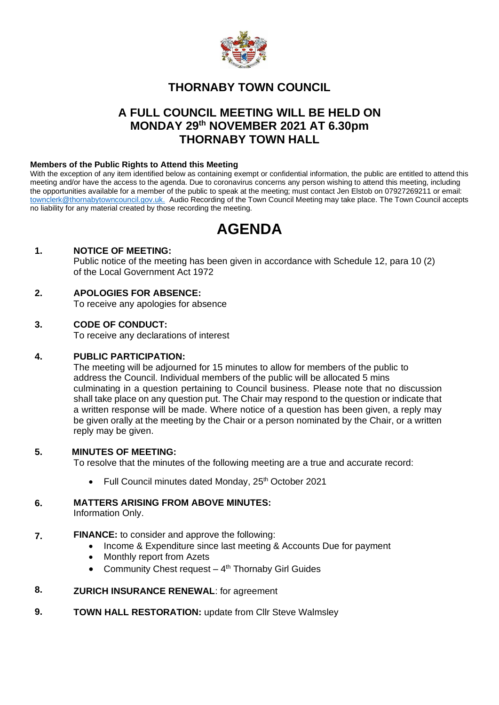

## **THORNABY TOWN COUNCIL**

# **A FULL COUNCIL MEETING WILL BE HELD ON MONDAY 29 th NOVEMBER 2021 AT 6.30pm THORNABY TOWN HALL**

### **Members of the Public Rights to Attend this Meeting**

With the exception of any item identified below as containing exempt or confidential information, the public are entitled to attend this meeting and/or have the access to the agenda. Due to coronavirus concerns any person wishing to attend this meeting, including the opportunities available for a member of the public to speak at the meeting; must contact Jen Elstob on 07927269211 or email: [townclerk@thornabytowncouncil.gov.uk.](about:blank) Audio Recording of the Town Council Meeting may take place. The Town Council accepts no liability for any material created by those recording the meeting.

# **AGENDA**

## **1. NOTICE OF MEETING:**

Public notice of the meeting has been given in accordance with Schedule 12, para 10 (2) of the Local Government Act 1972

## **2. APOLOGIES FOR ABSENCE:**

To receive any apologies for absence

## **3. CODE OF CONDUCT:**

To receive any declarations of interest

#### **4. PUBLIC PARTICIPATION:**

The meeting will be adjourned for 15 minutes to allow for members of the public to address the Council. Individual members of the public will be allocated 5 mins culminating in a question pertaining to Council business. Please note that no discussion shall take place on any question put. The Chair may respond to the question or indicate that a written response will be made. Where notice of a question has been given, a reply may be given orally at the meeting by the Chair or a person nominated by the Chair, or a written reply may be given.

#### **5. MINUTES OF MEETING:**

To resolve that the minutes of the following meeting are a true and accurate record:

• Full Council minutes dated Monday,  $25<sup>th</sup>$  October 2021

#### **6. MATTERS ARISING FROM ABOVE MINUTES:**

Information Only.

#### **7. FINANCE:** to consider and approve the following:

- Income & Expenditure since last meeting & Accounts Due for payment
- Monthly report from Azets
- Community Chest request 4<sup>th</sup> Thornaby Girl Guides

#### **8. ZURICH INSURANCE RENEWAL**: for agreement

**9. TOWN HALL RESTORATION: update from Cllr Steve Walmsley**